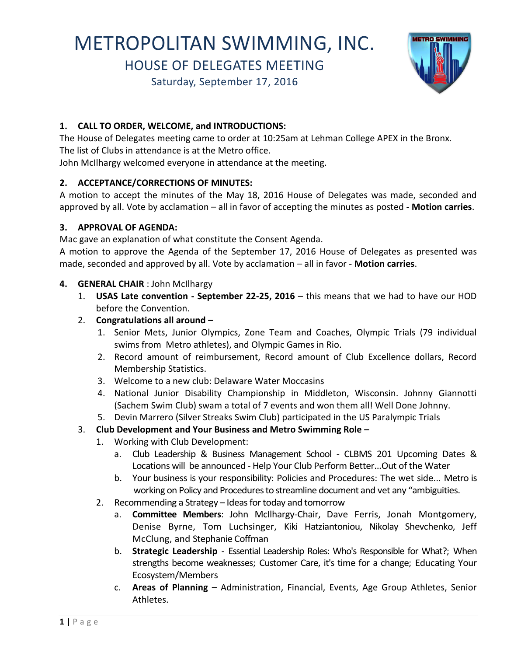# METROPOLITAN SWIMMING, INC.

HOUSE OF DELEGATES MEETING

Saturday, September 17, 2016



# **1. CALL TO ORDER, WELCOME, and INTRODUCTIONS:**

The House of Delegates meeting came to order at 10:25am at Lehman College APEX in the Bronx. The list of Clubs in attendance is at the Metro office.

John McIlhargy welcomed everyone in attendance at the meeting.

# **2. ACCEPTANCE/CORRECTIONS OF MINUTES:**

A motion to accept the minutes of the May 18, 2016 House of Delegates was made, seconded and approved by all. Vote by acclamation – all in favor of accepting the minutes as posted - **Motion carries**.

## **3. APPROVAL OF AGENDA:**

Mac gave an explanation of what constitute the Consent Agenda.

A motion to approve the Agenda of the September 17, 2016 House of Delegates as presented was made, seconded and approved by all. Vote by acclamation – all in favor - **Motion carries**.

## **4. GENERAL CHAIR** : John McIlhargy

- 1. **USAS Late convention - September 22-25, 2016** this means that we had to have our HOD before the Convention.
- 2. **Congratulations all around –**
	- 1. Senior Mets, Junior Olympics, Zone Team and Coaches, Olympic Trials (79 individual swims from Metro athletes), and Olympic Games in Rio.
	- 2. Record amount of reimbursement, Record amount of Club Excellence dollars, Record Membership Statistics.
	- 3. Welcome to a new club: Delaware Water Moccasins
	- 4. National Junior Disability Championship in Middleton, Wisconsin. Johnny Giannotti (Sachem Swim Club) swam a total of 7 events and won them all! Well Done Johnny.
	- 5. Devin Marrero (Silver Streaks Swim Club) participated in the US Paralympic Trials

# 3. **Club Development and Your Business and Metro Swimming Role –**

- 1. Working with Club Development:
	- a. Club Leadership & Business Management School CLBMS 201 Upcoming Dates & Locations will be announced - Help Your Club Perform Better...Out of the Water
	- b. Your business is your responsibility: Policies and Procedures: The wet side... Metro is working on Policy and Procedures to streamline document and vet any "ambiguities.
- 2. Recommending a Strategy Ideas for today and tomorrow
	- a. **Committee Members**: John McIlhargy-Chair, Dave Ferris, Jonah Montgomery, Denise Byrne, Tom Luchsinger, Kiki Hatziantoniou, Nikolay Shevchenko, Jeff McClung, and Stephanie Coffman
	- b. **Strategic Leadership** Essential Leadership Roles: Who's Responsible for What?; When strengths become weaknesses; Customer Care, it's time for a change; Educating Your Ecosystem/Members
	- c. **Areas of Planning** Administration, Financial, Events, Age Group Athletes, Senior Athletes.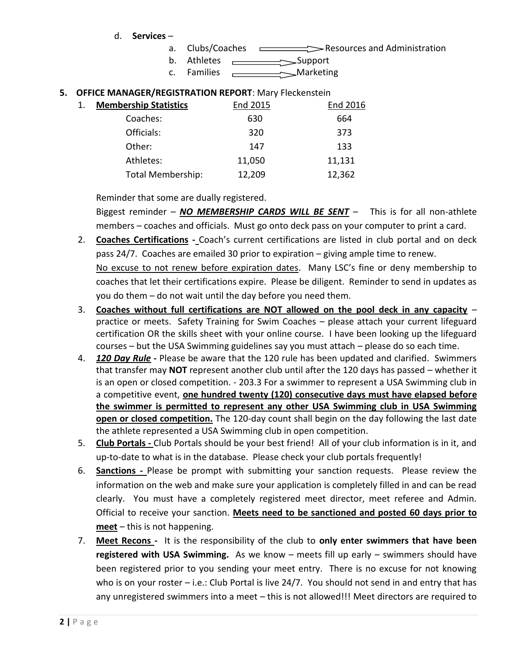- a. Clubs/Coaches <del>come Section</del> Resources and Administration
- $b.$  Athletes  $\overline{\phantom{a}}$ Support
- c. Families <u>Communicum</u> Marketing

#### **5. OFFICE MANAGER/REGISTRATION REPORT**: Mary Fleckenstein

| 1. | <b>Membership Statistics</b> | End 2015 | End 2016 |
|----|------------------------------|----------|----------|
|    | Coaches:                     | 630      | 664      |
|    | Officials:                   | 320      | 373      |
|    | Other:                       | 147      | 133      |
|    | Athletes:                    | 11,050   | 11,131   |
|    | <b>Total Membership:</b>     | 12,209   | 12,362   |

Reminder that some are dually registered.

Biggest reminder – *NO MEMBERSHIP CARDS WILL BE SENT* – This is for all non-athlete members – coaches and officials. Must go onto deck pass on your computer to print a card.

2. **Coaches Certifications -** Coach's current certifications are listed in club portal and on deck pass 24/7. Coaches are emailed 30 prior to expiration – giving ample time to renew.

No excuse to not renew before expiration dates. Many LSC's fine or deny membership to coaches that let their certifications expire. Please be diligent. Reminder to send in updates as you do them – do not wait until the day before you need them.

- 3. **Coaches without full certifications are NOT allowed on the pool deck in any capacity** practice or meets. Safety Training for Swim Coaches – please attach your current lifeguard certification OR the skills sheet with your online course. I have been looking up the lifeguard courses – but the USA Swimming guidelines say you must attach – please do so each time.
- 4. *120 Day Rule -* Please be aware that the 120 rule has been updated and clarified. Swimmers that transfer may **NOT** represent another club until after the 120 days has passed – whether it is an open or closed competition. - 203.3 For a swimmer to represent a USA Swimming club in a competitive event, **one hundred twenty (120) consecutive days must have elapsed before the swimmer is permitted to represent any other USA Swimming club in USA Swimming open or closed competition.** The 120-day count shall begin on the day following the last date the athlete represented a USA Swimming club in open competition.
- 5. **Club Portals -** Club Portals should be your best friend! All of your club information is in it, and up-to-date to what is in the database. Please check your club portals frequently!
- 6. **Sanctions -** Please be prompt with submitting your sanction requests. Please review the information on the web and make sure your application is completely filled in and can be read clearly. You must have a completely registered meet director, meet referee and Admin. Official to receive your sanction. **Meets need to be sanctioned and posted 60 days prior to meet** – this is not happening.
- 7. **Meet Recons** It is the responsibility of the club to **only enter swimmers that have been registered with USA Swimming.** As we know – meets fill up early – swimmers should have been registered prior to you sending your meet entry. There is no excuse for not knowing who is on your roster – i.e.: Club Portal is live 24/7. You should not send in and entry that has any unregistered swimmers into a meet – this is not allowed!!! Meet directors are required to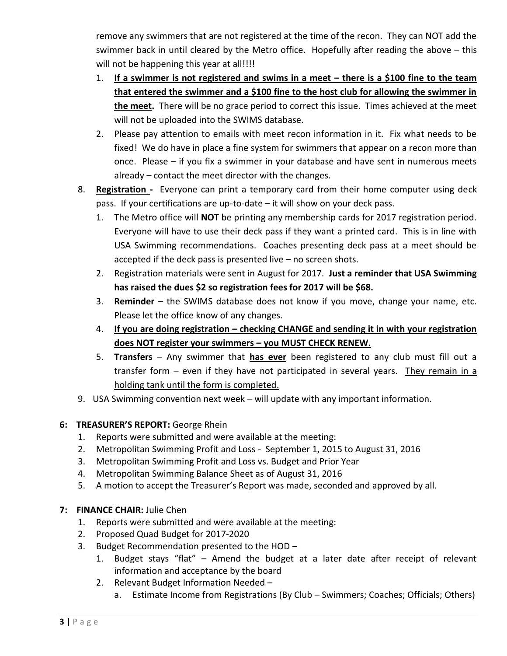remove any swimmers that are not registered at the time of the recon. They can NOT add the swimmer back in until cleared by the Metro office. Hopefully after reading the above – this will not be happening this year at all!!!!

- 1. **If a swimmer is not registered and swims in a meet – there is a \$100 fine to the team that entered the swimmer and a \$100 fine to the host club for allowing the swimmer in the meet.** There will be no grace period to correct this issue. Times achieved at the meet will not be uploaded into the SWIMS database.
- 2. Please pay attention to emails with meet recon information in it. Fix what needs to be fixed! We do have in place a fine system for swimmers that appear on a recon more than once. Please – if you fix a swimmer in your database and have sent in numerous meets already – contact the meet director with the changes.
- 8. **Registration** Everyone can print a temporary card from their home computer using deck pass. If your certifications are up-to-date – it will show on your deck pass.
	- 1. The Metro office will **NOT** be printing any membership cards for 2017 registration period. Everyone will have to use their deck pass if they want a printed card. This is in line with USA Swimming recommendations. Coaches presenting deck pass at a meet should be accepted if the deck pass is presented live – no screen shots.
	- 2. Registration materials were sent in August for 2017. **Just a reminder that USA Swimming has raised the dues \$2 so registration fees for 2017 will be \$68.**
	- 3. **Reminder** the SWIMS database does not know if you move, change your name, etc. Please let the office know of any changes.
	- 4. **If you are doing registration – checking CHANGE and sending it in with your registration does NOT register your swimmers – you MUST CHECK RENEW.**
	- 5. **Transfers**  Any swimmer that **has ever** been registered to any club must fill out a transfer form – even if they have not participated in several years. They remain in a holding tank until the form is completed.
- 9. USA Swimming convention next week will update with any important information.

# **6: TREASURER'S REPORT:** George Rhein

- 1. Reports were submitted and were available at the meeting:
- 2. Metropolitan Swimming Profit and Loss September 1, 2015 to August 31, 2016
- 3. Metropolitan Swimming Profit and Loss vs. Budget and Prior Year
- 4. Metropolitan Swimming Balance Sheet as of August 31, 2016
- 5. A motion to accept the Treasurer's Report was made, seconded and approved by all.

# **7: FINANCE CHAIR:** Julie Chen

- 1. Reports were submitted and were available at the meeting:
- 2. Proposed Quad Budget for 2017-2020
- 3. Budget Recommendation presented to the HOD
	- 1. Budget stays "flat" Amend the budget at a later date after receipt of relevant information and acceptance by the board
	- 2. Relevant Budget Information Needed
		- a. Estimate Income from Registrations (By Club Swimmers; Coaches; Officials; Others)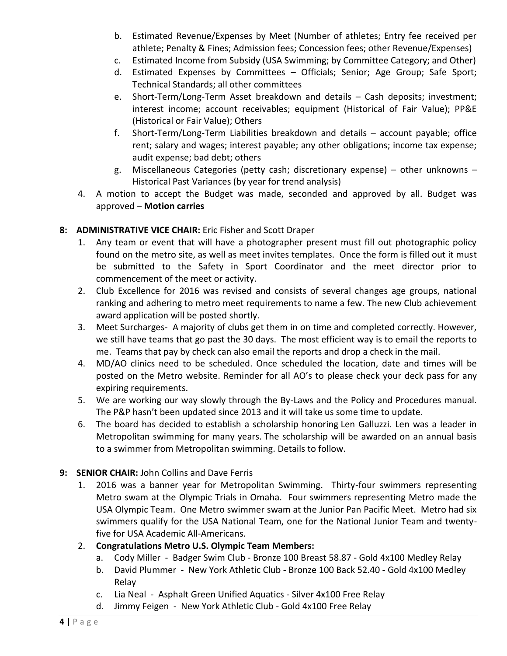- b. Estimated Revenue/Expenses by Meet (Number of athletes; Entry fee received per athlete; Penalty & Fines; Admission fees; Concession fees; other Revenue/Expenses)
- c. Estimated Income from Subsidy (USA Swimming; by Committee Category; and Other)
- d. Estimated Expenses by Committees Officials; Senior; Age Group; Safe Sport; Technical Standards; all other committees
- e. Short-Term/Long-Term Asset breakdown and details Cash deposits; investment; interest income; account receivables; equipment (Historical of Fair Value); PP&E (Historical or Fair Value); Others
- f. Short-Term/Long-Term Liabilities breakdown and details account payable; office rent; salary and wages; interest payable; any other obligations; income tax expense; audit expense; bad debt; others
- g. Miscellaneous Categories (petty cash; discretionary expense) other unknowns Historical Past Variances (by year for trend analysis)
- 4. A motion to accept the Budget was made, seconded and approved by all. Budget was approved – **Motion carries**

## **8: ADMINISTRATIVE VICE CHAIR:** Eric Fisher and Scott Draper

- 1. Any team or event that will have a photographer present must fill out photographic policy found on the metro site, as well as meet invites templates. Once the form is filled out it must be submitted to the Safety in Sport Coordinator and the meet director prior to commencement of the meet or activity.
- 2. Club Excellence for 2016 was revised and consists of several changes age groups, national ranking and adhering to metro meet requirements to name a few. The new Club achievement award application will be posted shortly.
- 3. Meet Surcharges- A majority of clubs get them in on time and completed correctly. However, we still have teams that go past the 30 days. The most efficient way is to email the reports to me. Teams that pay by check can also email the reports and drop a check in the mail.
- 4. MD/AO clinics need to be scheduled. Once scheduled the location, date and times will be posted on the Metro website. Reminder for all AO's to please check your deck pass for any expiring requirements.
- 5. We are working our way slowly through the By-Laws and the Policy and Procedures manual. The P&P hasn't been updated since 2013 and it will take us some time to update.
- 6. The board has decided to establish a scholarship honoring Len Galluzzi. Len was a leader in Metropolitan swimming for many years. The scholarship will be awarded on an annual basis to a swimmer from Metropolitan swimming. Details to follow.

#### **9: SENIOR CHAIR:** John Collins and Dave Ferris

1. 2016 was a banner year for Metropolitan Swimming. Thirty-four swimmers representing Metro swam at the Olympic Trials in Omaha. Four swimmers representing Metro made the USA Olympic Team. One Metro swimmer swam at the Junior Pan Pacific Meet. Metro had six swimmers qualify for the USA National Team, one for the National Junior Team and twentyfive for USA Academic All-Americans.

# 2. **Congratulations Metro U.S. Olympic Team Members:**

- a. Cody Miller Badger Swim Club Bronze 100 Breast 58.87 Gold 4x100 Medley Relay
- b. David Plummer New York Athletic Club Bronze 100 Back 52.40 Gold 4x100 Medley Relay
- c. Lia Neal Asphalt Green Unified Aquatics Silver 4x100 Free Relay
- d. Jimmy Feigen New York Athletic Club Gold 4x100 Free Relay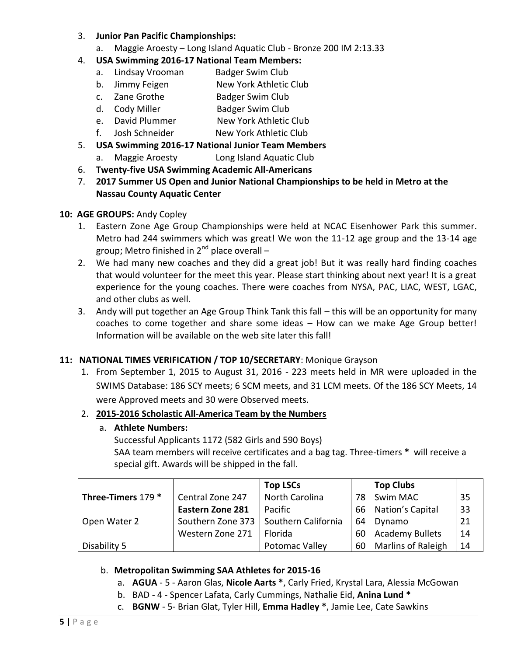#### 3. **Junior Pan Pacific Championships:**

a. Maggie Aroesty – Long Island Aquatic Club - Bronze 200 IM 2:13.33

## 4. **USA Swimming 2016-17 National Team Members:**

- a. Lindsay Vrooman Badger Swim Club
- b. Jimmy Feigen New York Athletic Club
- c. Zane Grothe Badger Swim Club
- d. Cody Miller Badger Swim Club
- e. David Plummer New York Athletic Club
- f. Josh Schneider New York Athletic Club

## 5. **USA Swimming 2016-17 National Junior Team Members**

- a. Maggie Aroesty Long Island Aquatic Club
- 6. **Twenty-five USA Swimming Academic All-Americans**
- 7. **2017 Summer US Open and Junior National Championships to be held in Metro at the Nassau County Aquatic Center**

#### **10: AGE GROUPS:** Andy Copley

- 1. Eastern Zone Age Group Championships were held at NCAC Eisenhower Park this summer. Metro had 244 swimmers which was great! We won the 11-12 age group and the 13-14 age group; Metro finished in  $2^{nd}$  place overall –
- 2. We had many new coaches and they did a great job! But it was really hard finding coaches that would volunteer for the meet this year. Please start thinking about next year! It is a great experience for the young coaches. There were coaches from NYSA, PAC, LIAC, WEST, LGAC, and other clubs as well.
- 3. Andy will put together an Age Group Think Tank this fall this will be an opportunity for many coaches to come together and share some ideas – How can we make Age Group better! Information will be available on the web site later this fall!

#### **11: NATIONAL TIMES VERIFICATION / TOP 10/SECRETARY**: Monique Grayson

1. From September 1, 2015 to August 31, 2016 - 223 meets held in MR were uploaded in the SWIMS Database: 186 SCY meets; 6 SCM meets, and 31 LCM meets. Of the 186 SCY Meets, 14 were Approved meets and 30 were Observed meets.

#### 2. **2015-2016 Scholastic All-America Team by the Numbers**

#### a. **Athlete Numbers:**

Successful Applicants 1172 (582 Girls and 590 Boys) SAA team members will receive certificates and a bag tag. Three-timers **\*** will receive a special gift. Awards will be shipped in the fall.

|                    |                         | <b>Top LSCs</b>     |      | <b>Top Clubs</b>          |    |
|--------------------|-------------------------|---------------------|------|---------------------------|----|
| Three-Timers 179 * | Central Zone 247        | North Carolina      | 78 I | <b>Swim MAC</b>           | 35 |
|                    | <b>Eastern Zone 281</b> | Pacific             |      | 66   Nation's Capital     | 33 |
| Open Water 2       | Southern Zone 373       | Southern California | 64   | Dynamo                    | 21 |
|                    | Western Zone 271        | Florida             | 60   | <b>Academy Bullets</b>    | 14 |
| Disability 5       |                         | Potomac Valley      | 60 I | <b>Marlins of Raleigh</b> | 14 |

#### b. **Metropolitan Swimming SAA Athletes for 2015-16**

- a. **AGUA** 5 Aaron Glas, **Nicole Aarts \***, Carly Fried, Krystal Lara, Alessia McGowan
- b. BAD 4 Spencer Lafata, Carly Cummings, Nathalie Eid, **Anina Lund \***
- c. **BGNW** 5- Brian Glat, Tyler Hill, **Emma Hadley \***, Jamie Lee, Cate Sawkins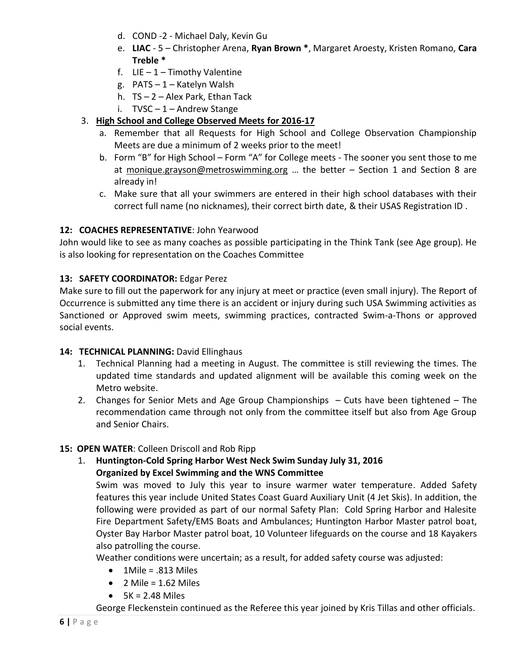- d. COND -2 Michael Daly, Kevin Gu
- e. **LIAC** 5 Christopher Arena, **Ryan Brown \***, Margaret Aroesty, Kristen Romano, **Cara Treble \***
- f.  $LIE 1 Timothy Valentine$
- g. PATS 1 Katelyn Walsh
- h. TS 2 Alex Park, Ethan Tack
- i.  $TVSC 1 -$  Andrew Stange

## 3. **High School and College Observed Meets for 2016-17**

- a. Remember that all Requests for High School and College Observation Championship Meets are due a minimum of 2 weeks prior to the meet!
- b. Form "B" for High School Form "A" for College meets The sooner you sent those to me at [monique.grayson@metroswimming.org](mailto:monique.grayson@metroswimming.org) … the better – Section 1 and Section 8 are already in!
- c. Make sure that all your swimmers are entered in their high school databases with their correct full name (no nicknames), their correct birth date, & their USAS Registration ID .

#### **12: COACHES REPRESENTATIVE**: John Yearwood

John would like to see as many coaches as possible participating in the Think Tank (see Age group). He is also looking for representation on the Coaches Committee

#### **13: SAFETY COORDINATOR:** Edgar Perez

Make sure to fill out the paperwork for any injury at meet or practice (even small injury). The Report of Occurrence is submitted any time there is an accident or injury during such USA Swimming activities as Sanctioned or Approved swim meets, swimming practices, contracted Swim-a-Thons or approved social events.

#### 14: **TECHNICAL PLANNING:** David Ellinghaus

- 1. Technical Planning had a meeting in August. The committee is still reviewing the times. The updated time standards and updated alignment will be available this coming week on the Metro website.
- 2. Changes for Senior Mets and Age Group Championships Cuts have been tightened The recommendation came through not only from the committee itself but also from Age Group and Senior Chairs.

#### **15: OPEN WATER**: Colleen Driscoll and Rob Ripp

1. **Huntington-Cold Spring Harbor West Neck Swim Sunday July 31, 2016 Organized by Excel Swimming and the WNS Committee**

Swim was moved to July this year to insure warmer water temperature. Added Safety features this year include United States Coast Guard Auxiliary Unit (4 Jet Skis). In addition, the following were provided as part of our normal Safety Plan: Cold Spring Harbor and Halesite Fire Department Safety/EMS Boats and Ambulances; Huntington Harbor Master patrol boat, Oyster Bay Harbor Master patrol boat, 10 Volunteer lifeguards on the course and 18 Kayakers also patrolling the course.

Weather conditions were uncertain; as a result, for added safety course was adjusted:

- $\bullet$  1Mile = .813 Miles
- $\bullet$  2 Mile = 1.62 Miles
- $-5K = 2.48$  Miles

George Fleckenstein continued as the Referee this year joined by Kris Tillas and other officials.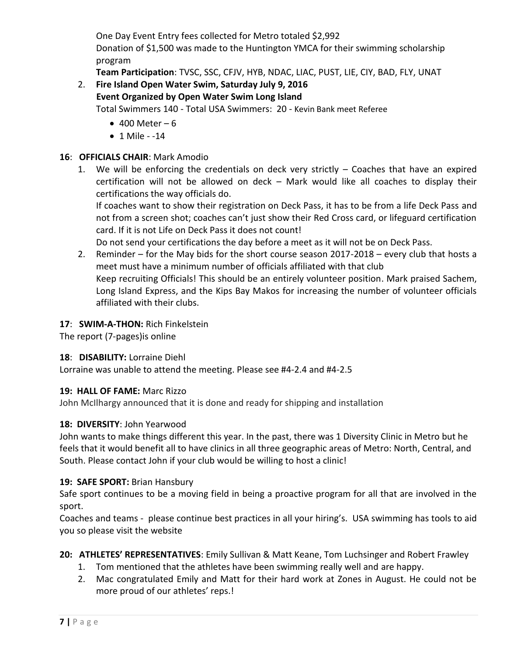One Day Event Entry fees collected for Metro totaled \$2,992 Donation of \$1,500 was made to the Huntington YMCA for their swimming scholarship program

**Team Participation**: TVSC, SSC, CFJV, HYB, NDAC, LIAC, PUST, LIE, CIY, BAD, FLY, UNAT

# 2. **Fire Island Open Water Swim, Saturday July 9, 2016 Event Organized by Open Water Swim Long Island** Total Swimmers 140 - Total USA Swimmers: 20 - Kevin Bank meet Referee

- $\bullet$  400 Meter 6
- $1$  Mile  $-14$

## **16**: **OFFICIALS CHAIR**: Mark Amodio

1. We will be enforcing the credentials on deck very strictly – Coaches that have an expired certification will not be allowed on deck – Mark would like all coaches to display their certifications the way officials do.

If coaches want to show their registration on Deck Pass, it has to be from a life Deck Pass and not from a screen shot; coaches can't just show their Red Cross card, or lifeguard certification card. If it is not Life on Deck Pass it does not count!

Do not send your certifications the day before a meet as it will not be on Deck Pass.

2. Reminder – for the May bids for the short course season 2017-2018 – every club that hosts a meet must have a minimum number of officials affiliated with that club Keep recruiting Officials! This should be an entirely volunteer position. Mark praised Sachem, Long Island Express, and the Kips Bay Makos for increasing the number of volunteer officials affiliated with their clubs.

## **17**: **SWIM-A-THON:** Rich Finkelstein

The report (7-pages)is online

#### **18**: **DISABILITY:** Lorraine Diehl

Lorraine was unable to attend the meeting. Please see #4-2.4 and #4-2.5

#### **19: HALL OF FAME:** Marc Rizzo

John McIlhargy announced that it is done and ready for shipping and installation

#### **18: DIVERSITY**: John Yearwood

John wants to make things different this year. In the past, there was 1 Diversity Clinic in Metro but he feels that it would benefit all to have clinics in all three geographic areas of Metro: North, Central, and South. Please contact John if your club would be willing to host a clinic!

#### **19: SAFE SPORT:** Brian Hansbury

Safe sport continues to be a moving field in being a proactive program for all that are involved in the sport.

Coaches and teams - please continue best practices in all your hiring's. USA swimming has tools to aid you so please visit the website

# **20: ATHLETES' REPRESENTATIVES**: Emily Sullivan & Matt Keane, Tom Luchsinger and Robert Frawley

- 1. Tom mentioned that the athletes have been swimming really well and are happy.
- 2. Mac congratulated Emily and Matt for their hard work at Zones in August. He could not be more proud of our athletes' reps.!